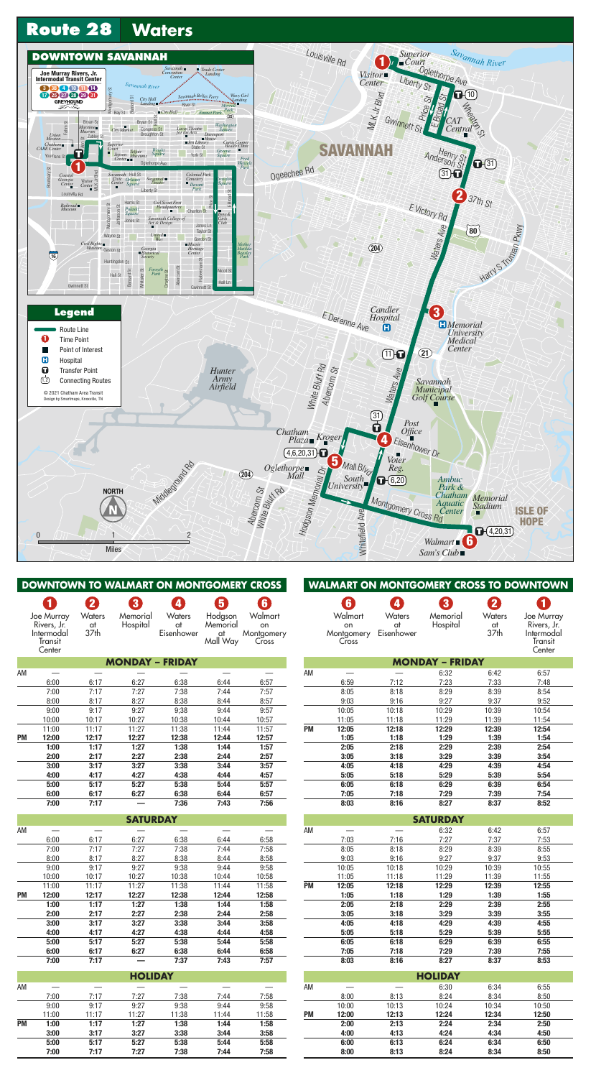

|           | DOWNTOWN TO WALMART ON MONTGOMERY CROSS |               |                        |            |          |                |
|-----------|-----------------------------------------|---------------|------------------------|------------|----------|----------------|
|           | 1                                       | 2             | $\bf{3}$               | 4          | 5        | 6 <sup>1</sup> |
|           | Joe Murray                              | <b>Waters</b> | Memorial               | Waters     | Hodgson  | Walmart        |
|           | Rivers, Jr.                             | at            | Hospital               | at         | Memorial | on             |
|           | Intermodal                              | 37th          |                        | Eisenhower | at       | Montgomery     |
|           | Transit                                 |               |                        |            | Mall Way | Cross          |
|           | Center                                  |               |                        |            |          |                |
|           |                                         |               | <b>MONDAY - FRIDAY</b> |            |          |                |
| AM        |                                         |               |                        |            |          |                |
|           | 6:00                                    | 6:17          | 6:27                   | 6:38       | 6:44     | 6:57           |
|           | 7:00                                    | 7:17          | 7:27                   | 7:38       | 7:44     | 7:57           |
|           | 8:00                                    | 8:17          | 8:27                   | 8:38       | 8:44     | 8:57           |
|           | 9:00                                    | 9:17          | 9:27                   | 9;38       | 9:44     | 9:57           |
|           | 10:00                                   | 10:17         | 10:27                  | 10:38      | 10:44    | 10:57          |
|           | 11:00                                   | 11:17         | 11:27                  | 11:38      | 11:44    | 11:57          |
| <b>PM</b> | 12:00                                   | 12:17         | 12:27                  | 12:38      | 12:44    | 12:57          |
|           | 1:00                                    | 1:17          | 1:27                   | 1:38       | 1:44     | 1:57           |
|           | 2:00                                    | 2:17          | 2:27                   | 2:38       | 2:44     | 2:57           |
|           | 3:00                                    | 3:17          | 3:27                   | 3:38       | 3:44     | 3:57           |
|           | 4:00                                    | 4:17          | 4:27                   | 4:38       | 4:44     | 4:57           |
|           | 5:00                                    | 5:17          | 5:27                   | 5:38       | 5:44     | 5:57           |
|           | 6:00                                    | 6:17          | 6:27                   | 6:38       | 6:44     | 6:57           |
|           | 7:00                                    | 7:17          |                        | 7:36       | 7:43     | 7:56           |
|           |                                         |               | <b>SATURDAY</b>        |            |          |                |
| AM        |                                         |               |                        |            |          |                |
|           | 6:00                                    | 6:17          | 6:27                   | 6:38       | 6:44     | 6:58           |
|           | 7:00                                    | 7:17          | 7:27                   | 7:38       | 7:44     | 7:58           |
|           | 8:00                                    | 8:17          | 8:27                   | 8:38       | 8:44     | 8:58           |
|           | 9:00                                    | 9:17          | 9:27                   | 9:38       | 9:44     | 9:58           |
|           | 10:00                                   | 10:17         | 10:27                  | 10:38      | 10:44    | 10:58          |
|           | 11:00                                   | 11:17         | 11:27                  | 11:38      | 11:44    | 11:58          |
| PM        | 12:00                                   | 12:17         | 12:27                  | 12:38      | 12:44    | 12:58          |
|           | 1:00                                    | 1:17          | 1:27                   | 1:38       | 1:44     | 1:58           |
|           | 2:00                                    | 2:17          | 2:27                   | 2:38       | 2:44     | 2:58           |
|           | 3:00                                    | 3:17          | 3:27                   | 3:38       | 3:44     | 3:58           |
|           | 4:00                                    | 4:17          | 4:27                   | 4:38       | 4:44     | 4:58           |
|           | 5:00                                    | 5:17          | 5:27                   | 5:38       | 5:44     | 5:58           |
|           | 6:00                                    | 6:17          | 6:27                   | 6:38       | 6:44     | 6:58           |
|           | 7:00                                    | 7:17          |                        | 7:37       | 7:43     | 7:57           |
|           |                                         |               | <b>HOLIDAY</b>         |            |          |                |
| AM        |                                         |               |                        |            |          |                |
|           | 7:00                                    | 7:17          | 7:27                   | 7:38       | 7:44     | 7:58           |
|           | 9:00                                    | 9:17          | 9:27                   | 9:38       | 9:44     | 9:58           |
|           | 11:00                                   | 11:17         | 11:27                  | 11:38      | 11:44    | 11:58          |
| <b>PM</b> | 1:00                                    | 1:17          | 1:27                   | 1:38       | 1:44     | 1:58           |
|           | 3:00                                    | 3:17          | 3:27                   | 3:38       | 3:44     | 3:58           |
|           | 5:00                                    | 5:17          | 5:27                   | 5:38       | 5:44     | 5:58           |
|           | 7:00                                    | 7:17          | 7:27                   | 7:38       | 7:44     | 7:58           |

|                        |                |               |                      |               | <b>WALMART ON MONTGOMERY CROSS TO DOWNTOWN</b> |  |  |  |
|------------------------|----------------|---------------|----------------------|---------------|------------------------------------------------|--|--|--|
|                        | 6 <sup>1</sup> | 4             | 3                    | $\mathbf{2}$  | 1                                              |  |  |  |
|                        | Walmart<br>on  | Waters<br>at  | Memorial<br>Hospital | Waters<br>at  | Joe Murray<br>Rivers, Jr.                      |  |  |  |
|                        | Montgomery     | Eisenhower    |                      | 37th          | Intermodal                                     |  |  |  |
|                        | Cross          |               |                      |               | Transit                                        |  |  |  |
|                        |                |               |                      |               | Center                                         |  |  |  |
| <b>MONDAY - FRIDAY</b> |                |               |                      |               |                                                |  |  |  |
| AM                     |                |               | 6:32                 | 6:42          | 6:57                                           |  |  |  |
|                        | 6:59           | 7:12          | 7:23                 | 7:33          | 7:48                                           |  |  |  |
|                        | 8:05           | 8:18          | 8:29                 | 8:39          | 8:54                                           |  |  |  |
|                        | 9:03           | 9:16          | 9:27                 | 9:37          | 9:52                                           |  |  |  |
|                        | 10:05          | 10:18         | 10:29                | 10:39         | 10:54                                          |  |  |  |
|                        | 11:05          | 11:18         | 11:29                | 11:39         | 11:54                                          |  |  |  |
| <b>PM</b>              | 12:05          | 12:18         | 12:29                | 12:39         | 12:54                                          |  |  |  |
|                        | 1:05           | 1:18          | 1:29                 | 1:39          | 1:54                                           |  |  |  |
|                        | 2:05<br>3:05   | 2:18<br>3:18  | 2:29<br>3:29         | 2:39<br>3:39  | 2:54<br>3:54                                   |  |  |  |
|                        | 4:05           | 4:18          | 4:29                 | 4:39          | 4:54                                           |  |  |  |
|                        | 5:05           | 5:18          | 5:29                 | 5:39          | 5:54                                           |  |  |  |
|                        | 6:05           | 6:18          | 6:29                 | 6:39          | 6:54                                           |  |  |  |
|                        | 7:05           | 7:18          | 7:29                 | 7:39          | 7:54                                           |  |  |  |
|                        | 8:03           | 8:16          | 8:27                 | 8:37          | 8:52                                           |  |  |  |
|                        |                |               |                      |               |                                                |  |  |  |
|                        |                |               | <b>SATURDAY</b>      |               |                                                |  |  |  |
| AM                     |                |               | 6:32                 | 6:42          | 6:57                                           |  |  |  |
|                        | 7:03           | 7:16          | 7:27                 | 7:37          | 7:53                                           |  |  |  |
|                        | 8:05           | 8:18          | 8:29<br>9:27         | 8:39          | 8:55                                           |  |  |  |
|                        | 9:03<br>10:05  | 9:16<br>10:18 | 10:29                | 9:37<br>10:39 | 9:53<br>10:55                                  |  |  |  |
|                        | 11:05          | 11:18         | 11:29                | 11:39         | 11:55                                          |  |  |  |
| <b>PM</b>              | 12:05          | 12:18         | 12:29                | 12:39         | 12:55                                          |  |  |  |
|                        | 1:05           | 1:18          | 1:29                 | 1:39          | 1:55                                           |  |  |  |
|                        | 2:05           | 2:18          | 2:29                 | 2:39          | 2:55                                           |  |  |  |
|                        | 3:05           | 3:18          | 3:29                 | 3:39          | 3:55                                           |  |  |  |
|                        | 4:05           | 4:18          | 4:29                 | 4:39          | 4:55                                           |  |  |  |
|                        | 5:05           | 5:18          | 5:29                 | 5:39          | 5:55                                           |  |  |  |
|                        | 6:05           | 6:18          | 6:29                 | 6:39          | 6:55                                           |  |  |  |
|                        | 7:05           | 7:18          | 7:29                 | 7:39          | 7:55                                           |  |  |  |
|                        | 8:03           | 8:16          | 8:27                 | 8:37          | 8:53                                           |  |  |  |
|                        |                |               | <b>HOLIDAY</b>       |               |                                                |  |  |  |
| AM                     |                |               | 6:30                 | 6:34          | 6:55                                           |  |  |  |
|                        | 8:00           | 8:13          | 8:24                 | 8:34          | 8:50                                           |  |  |  |
|                        | 10:00          | 10:13         | 10:24                | 10:34         | 10:50                                          |  |  |  |
| <b>PM</b>              | 12:00          | 12:13         | 12:24                | 12:34         | 12:50                                          |  |  |  |
|                        | 2:00           | 2:13          | 2:24                 | 2:34          | 2:50                                           |  |  |  |
|                        | 4:00           | 4:13          | 4:24                 | 4:34          | 4:50                                           |  |  |  |
|                        | 6:00           | 6:13          | 6:24                 | 6:34          | 6:50                                           |  |  |  |
|                        | 8:00           | 8:13          | 8:24                 | 8:34          | 8:50                                           |  |  |  |